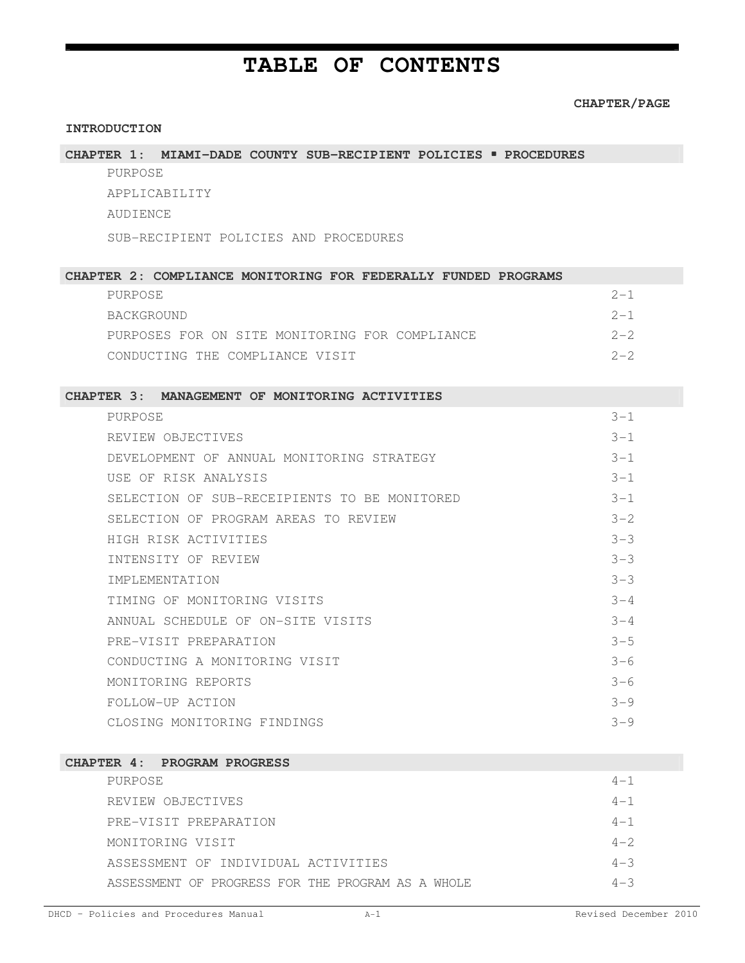# **TABLE OF CONTENTS**

 $\mathbf{E}$ 

|                                                                  | <b>CHAPTER/PAG</b> |  |  |  |
|------------------------------------------------------------------|--------------------|--|--|--|
| <b>INTRODUCTION</b>                                              |                    |  |  |  |
| CHAPTER 1: MIAMI-DADE COUNTY SUB-RECIPIENT POLICIES . PROCEDURES |                    |  |  |  |
| PURPOSE                                                          |                    |  |  |  |
| APPLICABILITY                                                    |                    |  |  |  |
| AUDIENCE                                                         |                    |  |  |  |
| SUB-RECIPIENT POLICIES AND PROCEDURES                            |                    |  |  |  |
| CHAPTER 2: COMPLIANCE MONITORING FOR FEDERALLY FUNDED PROGRAMS   |                    |  |  |  |
| PURPOSE                                                          | $2 - 1$            |  |  |  |
| BACKGROUND                                                       | $2 - 1$            |  |  |  |
| PURPOSES FOR ON SITE MONITORING FOR COMPLIANCE                   | $2 - 2$            |  |  |  |
| CONDUCTING THE COMPLIANCE VISIT                                  | $2 - 2$            |  |  |  |
|                                                                  |                    |  |  |  |
| CHAPTER 3: MANAGEMENT OF MONITORING ACTIVITIES                   |                    |  |  |  |
| PURPOSE                                                          | $3 - 1$            |  |  |  |
| REVIEW OBJECTIVES                                                | $3 - 1$            |  |  |  |
| DEVELOPMENT OF ANNUAL MONITORING STRATEGY                        | $3 - 1$            |  |  |  |
| USE OF RISK ANALYSIS                                             | $3 - 1$            |  |  |  |
| SELECTION OF SUB-RECEIPIENTS TO BE MONITORED                     | $3 - 1$            |  |  |  |
| SELECTION OF PROGRAM AREAS TO REVIEW                             | $3 - 2$            |  |  |  |
| HIGH RISK ACTIVITIES                                             | $3 - 3$            |  |  |  |
| INTENSITY OF REVIEW                                              | $3 - 3$            |  |  |  |
| <b>IMPLEMENTATION</b>                                            | $3 - 3$            |  |  |  |
| TIMING OF MONITORING VISITS                                      | $3 - 4$            |  |  |  |
| ANNUAL SCHEDULE OF ON-SITE VISITS                                | $3 - 4$            |  |  |  |
| PRE-VISIT PREPARATION                                            | $3 - 5$            |  |  |  |
| CONDUCTING A MONITORING VISIT                                    | $3 - 6$            |  |  |  |
| MONITORING REPORTS                                               | $3 - 6$            |  |  |  |
| FOLLOW-UP ACTION                                                 | $3 - 9$            |  |  |  |
| CLOSING MONITORING FINDINGS                                      | $3 - 9$            |  |  |  |
|                                                                  |                    |  |  |  |
| CHAPTER 4: PROGRAM PROGRESS                                      |                    |  |  |  |
| PURPOSE                                                          | $4 - 1$            |  |  |  |
| REVIEW OBJECTIVES                                                | $4 - 1$            |  |  |  |

PRE-VISIT PREPARATION  $4-1$ MONITORING VISIT 4-2 ASSESSMENT OF INDIVIDUAL ACTIVITIES 4-3 ASSESSMENT OF PROGRESS FOR THE PROGRAM AS A WHOLE  $4-3$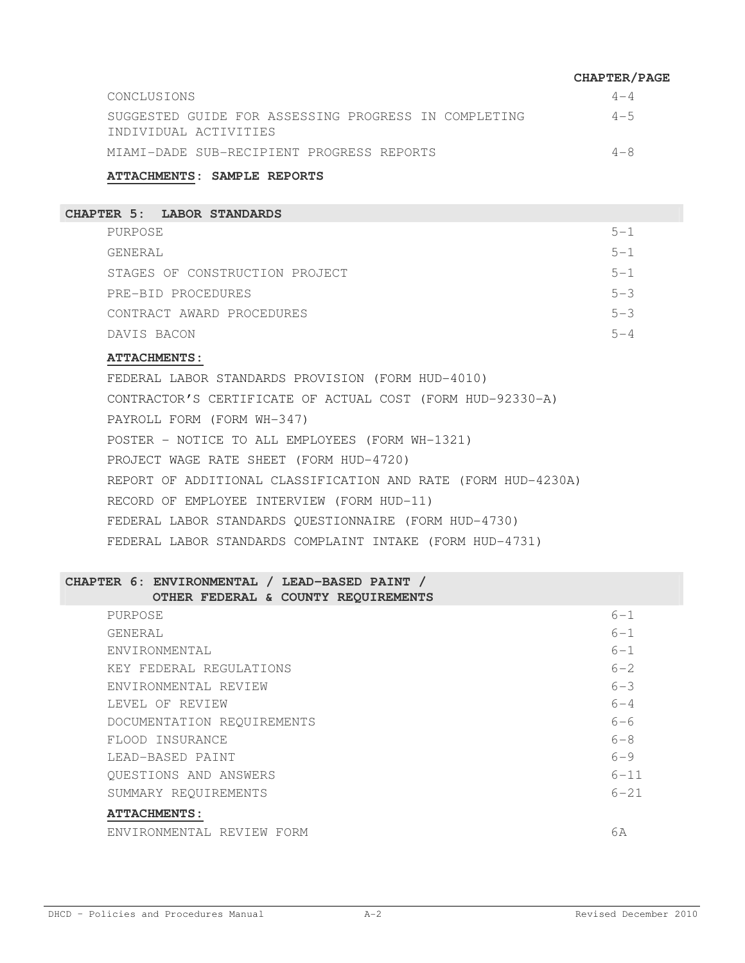|                                                                               | <b>CHAPTER/PAGE</b> |
|-------------------------------------------------------------------------------|---------------------|
| CONCLUSIONS                                                                   | $4 - 4$             |
| SUGGESTED GUIDE FOR ASSESSING PROGRESS IN COMPLETING<br>INDIVIDUAL ACTIVITIES | $4 - 5$             |
| MIAMI-DADE SUB-RECIPIENT PROGRESS REPORTS                                     | $4 - 8$             |

#### **ATTACHMENTS: SAMPLE REPORTS**

### **CHAPTER 5: LABOR STANDARDS**

| PURPOSE                        | $5 - 1$ |
|--------------------------------|---------|
| GENERAL                        | $5 - 1$ |
| STAGES OF CONSTRUCTION PROJECT | $5 - 1$ |
| PRE-BID PROCEDURES             | $5 - 3$ |
| CONTRACT AWARD PROCEDURES      | $5 - 3$ |
| DAVIS BACON                    | $h - 4$ |

#### **ATTACHMENTS:**

FEDERAL LABOR STANDARDS PROVISION (FORM HUD-4010) CONTRACTOR'S CERTIFICATE OF ACTUAL COST (FORM HUD-92330-A) PAYROLL FORM (FORM WH-347) POSTER - NOTICE TO ALL EMPLOYEES (FORM WH-1321) PROJECT WAGE RATE SHEET (FORM HUD-4720) REPORT OF ADDITIONAL CLASSIFICATION AND RATE (FORM HUD-4230A) RECORD OF EMPLOYEE INTERVIEW (FORM HUD-11) FEDERAL LABOR STANDARDS QUESTIONNAIRE (FORM HUD-4730) FEDERAL LABOR STANDARDS COMPLAINT INTAKE (FORM HUD-4731)

## **CHAPTER 6: ENVIRONMENTAL / LEAD-BASED PAINT /**

#### **OTHER FEDERAL & COUNTY REQUIREMENTS**

| PURPOSE                    | $6 - 1$  |
|----------------------------|----------|
| GENERAL                    | $6 - 1$  |
| ENVIRONMENTAL              | $6 - 1$  |
| KEY FEDERAL REGULATIONS    | $6 - 2$  |
| ENVIRONMENTAL REVIEW       | $6 - 3$  |
| LEVEL OF REVIEW            | $6 - 4$  |
| DOCUMENTATION REQUIREMENTS | 6-6      |
| FLOOD INSURANCE            | $6 - 8$  |
| LEAD-BASED PAINT           | $6 - 9$  |
| QUESTIONS AND ANSWERS      | $6 - 11$ |
| SUMMARY REOUIREMENTS       | $6 - 21$ |
| <b>ATTACHMENTS:</b>        |          |
| ENVIRONMENTAL REVIEW FORM  | 6 A      |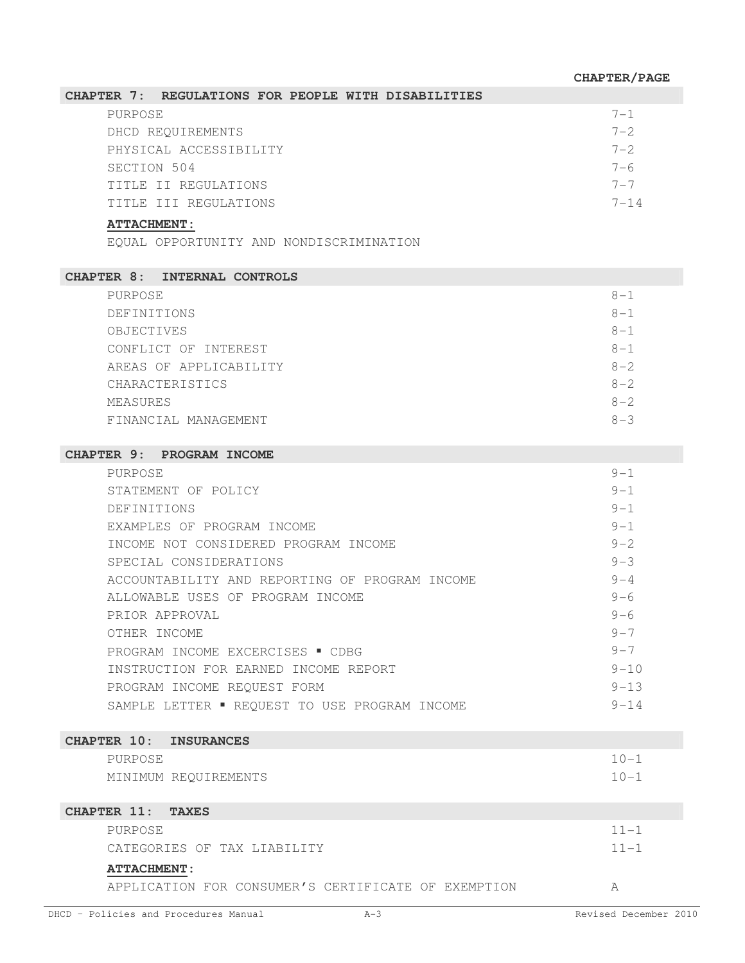| CHAPTER 7: REGULATIONS FOR PEOPLE WITH DISABILITIES |  |         |
|-----------------------------------------------------|--|---------|
| PURPOSE                                             |  | $7 - 1$ |
| DHCD REOUIREMENTS                                   |  | $7 - 2$ |
| PHYSICAL ACCESSIBILITY                              |  | $7 - 2$ |
| SECTION 504                                         |  | 7-6     |
| TITLE II REGULATIONS                                |  | $7 - 7$ |
| TITLE III REGULATIONS                               |  | 7–14    |

## **ATTACHMENT:**

EQUAL OPPORTUNITY AND NONDISCRIMINATION

| <b>CHAPTER 8: INTERNAL CONTROLS</b> |         |
|-------------------------------------|---------|
| PURPOSE                             | $8 - 1$ |
| DEFINITIONS                         | $8 - 1$ |
| OBJECTIVES                          | $8 - 1$ |
| CONFLICT OF INTEREST                | $8 - 1$ |
| AREAS OF APPLICABILITY              | $8 - 2$ |
| CHARACTERISTICS                     | $8 - 2$ |
| MEASURES                            | $8 - 2$ |
| FINANCIAL MANAGEMENT                | $8 - 3$ |

#### **CHAPTER 9: PROGRAM INCOME**

| PURPOSE                                        | $9 - 1$   |
|------------------------------------------------|-----------|
| STATEMENT OF POLICY                            | $9 - 1$   |
| DEFINITIONS                                    | $9 - 1$   |
| EXAMPLES OF PROGRAM INCOME                     | $9 - 1$   |
| INCOME NOT CONSIDERED PROGRAM INCOME           | $9 - 2$   |
| SPECIAL CONSIDERATIONS                         | $9 - 3$   |
| ACCOUNTABILITY AND REPORTING OF PROGRAM INCOME | $9 - 4$   |
| ALLOWABLE USES OF PROGRAM INCOME               | $9 - 6$   |
| PRIOR APPROVAL                                 | $9 - 6$   |
| OTHER INCOME                                   | $9 - 7$   |
| PROGRAM INCOME EXCERCISES . CDBG               | $9 - 7$   |
| INSTRUCTION FOR EARNED INCOME REPORT           | $9 - 10$  |
| PROGRAM INCOME REQUEST FORM                    | $9 - 1.3$ |
| SAMPLE LETTER . REQUEST TO USE PROGRAM INCOME  | $9 - 14$  |

| CHAPTER 10: INSURANCES |                      |          |
|------------------------|----------------------|----------|
| PURPOSE                |                      | $10 - 1$ |
|                        | MINIMUM REOUIREMENTS | $10 - 1$ |
| CHAPTER 11: TAXES      |                      |          |

| <b>ATTACHMENT:</b>          |          |
|-----------------------------|----------|
| CATEGORIES OF TAX LIABILITY | $11 - 1$ |
| PURPOSE                     | $11 - 1$ |

APPLICATION FOR CONSUMER'S CERTIFICATE OF EXEMPTION A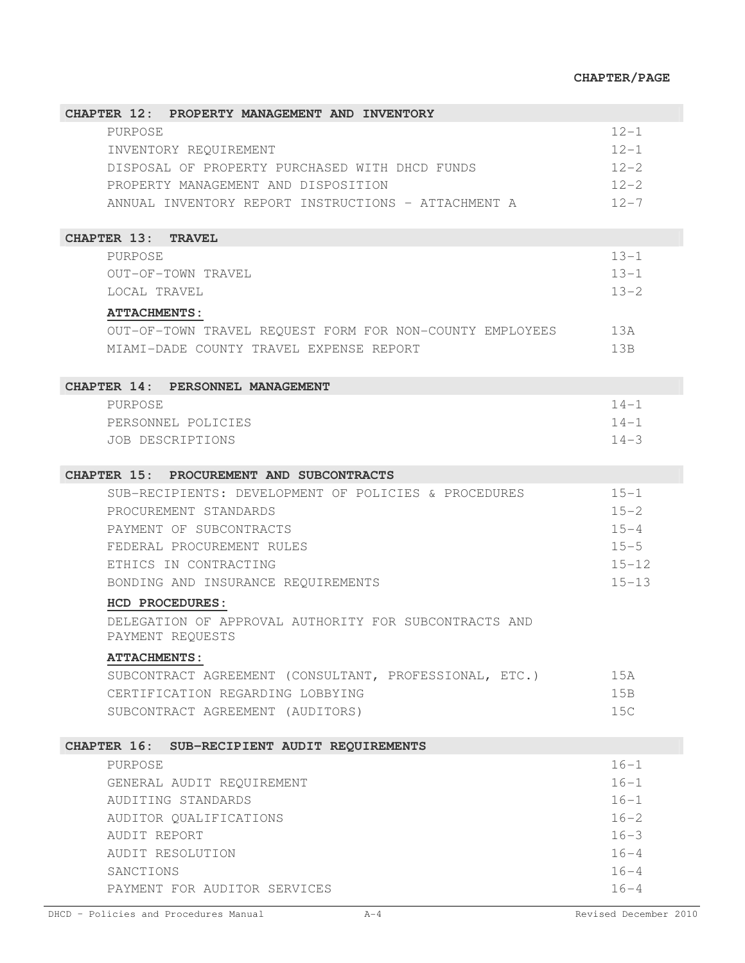## **CHAPTER/PAGE**

| CHAPTER 12: PROPERTY MANAGEMENT AND INVENTORY            |           |
|----------------------------------------------------------|-----------|
| PURPOSE                                                  | $12 - 1$  |
| INVENTORY REQUIREMENT                                    | $12 - 1$  |
| DISPOSAL OF PROPERTY PURCHASED WITH DHCD FUNDS           | $12 - 2$  |
| PROPERTY MANAGEMENT AND DISPOSITION                      | $12 - 2$  |
| ANNUAL INVENTORY REPORT INSTRUCTIONS - ATTACHMENT A      | $12 - 7$  |
|                                                          |           |
| CHAPTER 13: TRAVEL                                       |           |
| PURPOSE                                                  | $13 - 1$  |
| OUT-OF-TOWN TRAVEL                                       | $13 - 1$  |
| LOCAL TRAVEL                                             | $13 - 2$  |
| <b>ATTACHMENTS:</b>                                      |           |
| OUT-OF-TOWN TRAVEL REQUEST FORM FOR NON-COUNTY EMPLOYEES | 13A       |
| MIAMI-DADE COUNTY TRAVEL EXPENSE REPORT                  | 13B       |
|                                                          |           |
| CHAPTER 14: PERSONNEL MANAGEMENT                         |           |
| PURPOSE                                                  | $14 - 1$  |
| PERSONNEL POLICIES                                       | $14 - 1$  |
| <b>JOB DESCRIPTIONS</b>                                  | $14 - 3$  |
|                                                          |           |
| CHAPTER 15: PROCUREMENT AND SUBCONTRACTS                 |           |
| SUB-RECIPIENTS: DEVELOPMENT OF POLICIES & PROCEDURES     | $15 - 1$  |
| PROCUREMENT STANDARDS                                    | $15 - 2$  |
| PAYMENT OF SUBCONTRACTS                                  | $15 - 4$  |
| FEDERAL PROCUREMENT RULES                                | $15 - 5$  |
| ETHICS IN CONTRACTING                                    | $15 - 12$ |
| BONDING AND INSURANCE REQUIREMENTS                       | $15 - 13$ |
| HCD PROCEDURES:                                          |           |
| DELEGATION OF APPROVAL AUTHORITY FOR SUBCONTRACTS AND    |           |
| PAYMENT REQUESTS                                         |           |
| <b>ATTACHMENTS:</b>                                      |           |
| SUBCONTRACT AGREEMENT (CONSULTANT, PROFESSIONAL, ETC.)   | 15A       |
| CERTIFICATION REGARDING LOBBYING                         | 15B       |
| SUBCONTRACT AGREEMENT (AUDITORS)                         | 15C       |
|                                                          |           |
| CHAPTER 16: SUB-RECIPIENT AUDIT REQUIREMENTS             |           |
| <b>PURPOSE</b>                                           | $16 - 1$  |
| GENERAL AUDIT REQUIREMENT                                | $16 - 1$  |
| AUDITING STANDARDS                                       | $16 - 1$  |
| AUDITOR QUALIFICATIONS                                   | $16 - 2$  |
| AUDIT REPORT                                             | $16 - 3$  |
| AUDIT RESOLUTION                                         | $16 - 4$  |
| SANCTIONS                                                | $16 - 4$  |
| PAYMENT FOR AUDITOR SERVICES                             | $16 - 4$  |